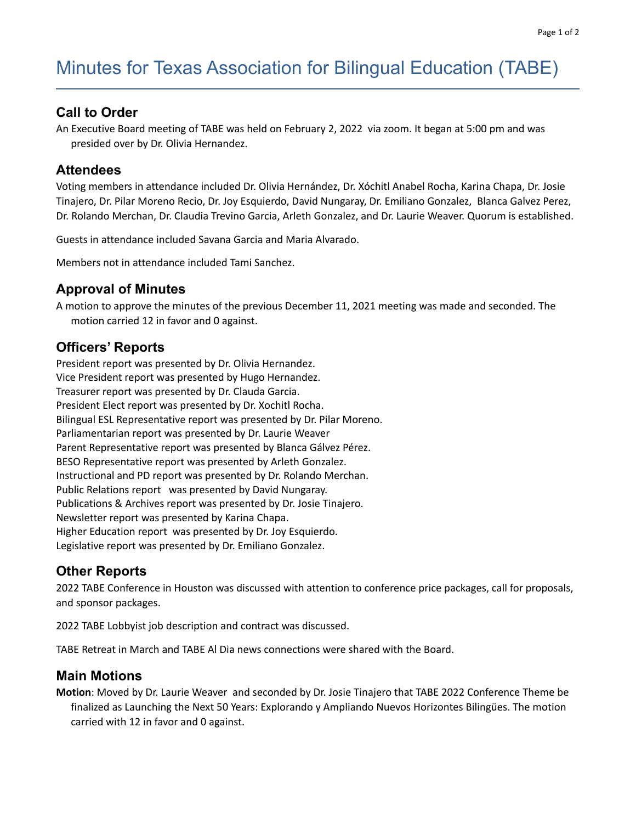# Minutes for Texas Association for Bilingual Education (TABE)

#### **Call to Order**

An Executive Board meeting of TABE was held on February 2, 2022 via zoom. It began at 5:00 pm and was presided over by Dr. Olivia Hernandez.

#### **Attendees**

Voting members in attendance included Dr. Olivia Hernández, Dr. Xóchitl Anabel Rocha, Karina Chapa, Dr. Josie Tinajero, Dr. Pilar Moreno Recio, Dr. Joy Esquierdo, David Nungaray, Dr. Emiliano Gonzalez, Blanca Galvez Perez, Dr. Rolando Merchan, Dr. Claudia Trevino Garcia, Arleth Gonzalez, and Dr. Laurie Weaver. Quorum is established.

Guests in attendance included Savana Garcia and Maria Alvarado.

Members not in attendance included Tami Sanchez.

#### **Approval of Minutes**

A motion to approve the minutes of the previous December 11, 2021 meeting was made and seconded. The motion carried 12 in favor and 0 against.

#### **Officers' Reports**

President report was presented by Dr. Olivia Hernandez. Vice President report was presented by Hugo Hernandez. Treasurer report was presented by Dr. Clauda Garcia. President Elect report was presented by Dr. Xochitl Rocha. Bilingual ESL Representative report was presented by Dr. Pilar Moreno. Parliamentarian report was presented by Dr. Laurie Weaver Parent Representative report was presented by Blanca Gálvez Pérez. BESO Representative report was presented by Arleth Gonzalez. Instructional and PD report was presented by Dr. Rolando Merchan. Public Relations report was presented by David Nungaray. Publications & Archives report was presented by Dr. Josie Tinajero. Newsletter report was presented by Karina Chapa. Higher Education report was presented by Dr. Joy Esquierdo. Legislative report was presented by Dr. Emiliano Gonzalez.

#### **Other Reports**

2022 TABE Conference in Houston was discussed with attention to conference price packages, call for proposals, and sponsor packages.

2022 TABE Lobbyist job description and contract was discussed.

TABE Retreat in March and TABE Al Dia news connections were shared with the Board.

#### **Main Motions**

**Motion**: Moved by Dr. Laurie Weaver and seconded by Dr. Josie Tinajero that TABE 2022 Conference Theme be finalized as Launching the Next 50 Years: Explorando y Ampliando Nuevos Horizontes Bilingües. The motion carried with 12 in favor and 0 against.